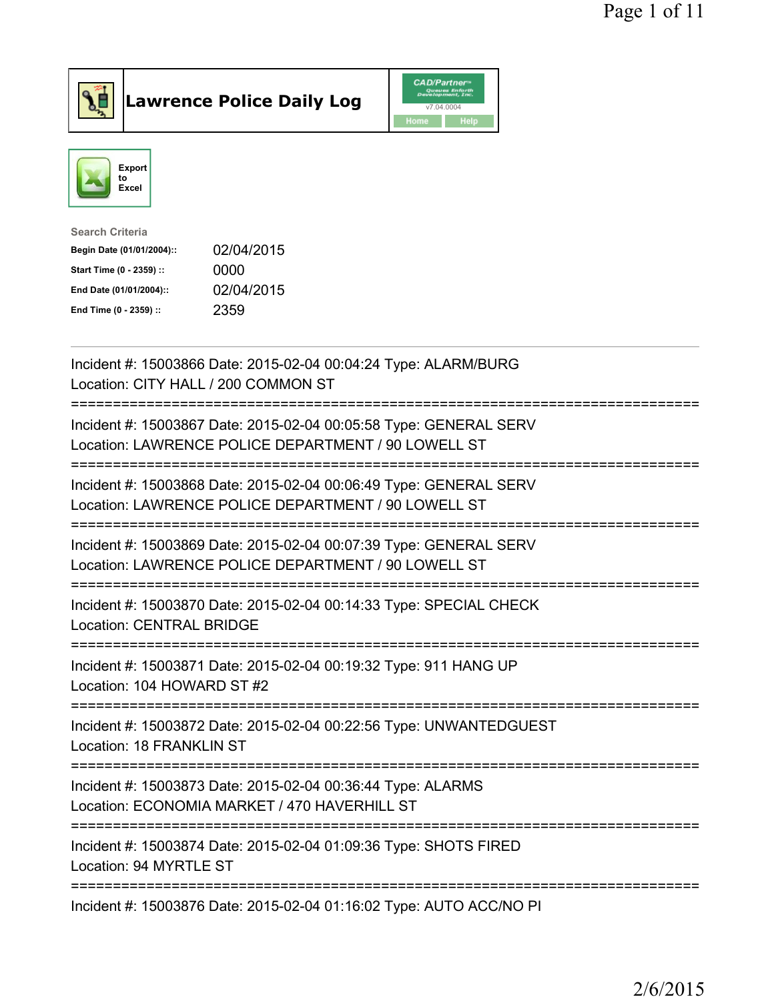

Lawrence Police Daily Log CAD/Partner



| <b>Search Criteria</b>    |            |
|---------------------------|------------|
| Begin Date (01/01/2004):: | 02/04/2015 |
| Start Time (0 - 2359) ::  | 0000       |
| End Date (01/01/2004)::   | 02/04/2015 |
| End Time (0 - 2359) ::    | 2359       |
|                           |            |

| Incident #: 15003866 Date: 2015-02-04 00:04:24 Type: ALARM/BURG<br>Location: CITY HALL / 200 COMMON ST                                          |
|-------------------------------------------------------------------------------------------------------------------------------------------------|
| Incident #: 15003867 Date: 2015-02-04 00:05:58 Type: GENERAL SERV<br>Location: LAWRENCE POLICE DEPARTMENT / 90 LOWELL ST                        |
| Incident #: 15003868 Date: 2015-02-04 00:06:49 Type: GENERAL SERV<br>Location: LAWRENCE POLICE DEPARTMENT / 90 LOWELL ST                        |
| Incident #: 15003869 Date: 2015-02-04 00:07:39 Type: GENERAL SERV<br>Location: LAWRENCE POLICE DEPARTMENT / 90 LOWELL ST                        |
| Incident #: 15003870 Date: 2015-02-04 00:14:33 Type: SPECIAL CHECK<br><b>Location: CENTRAL BRIDGE</b>                                           |
| Incident #: 15003871 Date: 2015-02-04 00:19:32 Type: 911 HANG UP<br>Location: 104 HOWARD ST #2                                                  |
| -----------------<br>Incident #: 15003872 Date: 2015-02-04 00:22:56 Type: UNWANTEDGUEST<br><b>Location: 18 FRANKLIN ST</b><br>----------------- |
| Incident #: 15003873 Date: 2015-02-04 00:36:44 Type: ALARMS<br>Location: ECONOMIA MARKET / 470 HAVERHILL ST<br>=============================    |
| Incident #: 15003874 Date: 2015-02-04 01:09:36 Type: SHOTS FIRED<br>Location: 94 MYRTLE ST                                                      |
| Incident #: 15003876 Date: 2015-02-04 01:16:02 Type: AUTO ACC/NO PI                                                                             |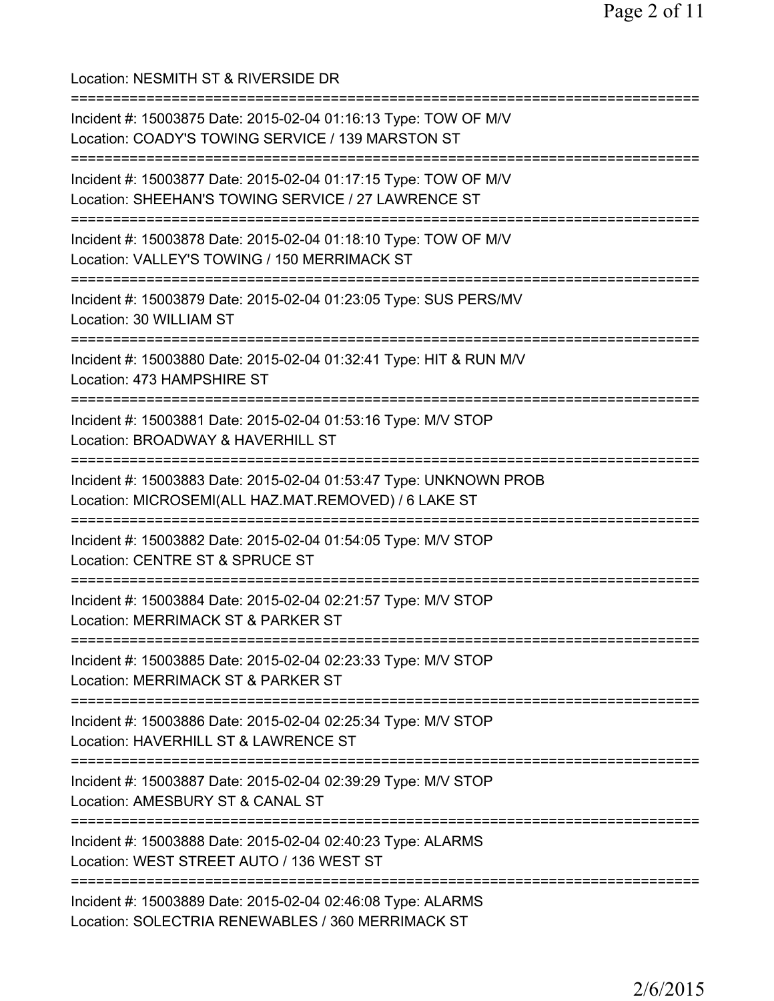Location: NESMITH ST & RIVERSIDE DR =========================================================================== Incident #: 15003875 Date: 2015-02-04 01:16:13 Type: TOW OF M/V Location: COADY'S TOWING SERVICE / 139 MARSTON ST =========================================================================== Incident #: 15003877 Date: 2015-02-04 01:17:15 Type: TOW OF M/V Location: SHEEHAN'S TOWING SERVICE / 27 LAWRENCE ST =========================================================================== Incident #: 15003878 Date: 2015-02-04 01:18:10 Type: TOW OF M/V Location: VALLEY'S TOWING / 150 MERRIMACK ST =========================================================================== Incident #: 15003879 Date: 2015-02-04 01:23:05 Type: SUS PERS/MV Location: 30 WILLIAM ST =========================================================================== Incident #: 15003880 Date: 2015-02-04 01:32:41 Type: HIT & RUN M/V Location: 473 HAMPSHIRE ST =========================================================================== Incident #: 15003881 Date: 2015-02-04 01:53:16 Type: M/V STOP Location: BROADWAY & HAVERHILL ST =========================================================================== Incident #: 15003883 Date: 2015-02-04 01:53:47 Type: UNKNOWN PROB Location: MICROSEMI(ALL HAZ.MAT.REMOVED) / 6 LAKE ST =========================================================================== Incident #: 15003882 Date: 2015-02-04 01:54:05 Type: M/V STOP Location: CENTRE ST & SPRUCE ST =========================================================================== Incident #: 15003884 Date: 2015-02-04 02:21:57 Type: M/V STOP Location: MERRIMACK ST & PARKER ST =========================================================================== Incident #: 15003885 Date: 2015-02-04 02:23:33 Type: M/V STOP Location: MERRIMACK ST & PARKER ST =========================================================================== Incident #: 15003886 Date: 2015-02-04 02:25:34 Type: M/V STOP Location: HAVERHILL ST & LAWRENCE ST =========================================================================== Incident #: 15003887 Date: 2015-02-04 02:39:29 Type: M/V STOP Location: AMESBURY ST & CANAL ST =========================================================================== Incident #: 15003888 Date: 2015-02-04 02:40:23 Type: ALARMS Location: WEST STREET AUTO / 136 WEST ST =========================================================================== Incident #: 15003889 Date: 2015-02-04 02:46:08 Type: ALARMS Location: SOLECTRIA RENEWABLES / 360 MERRIMACK ST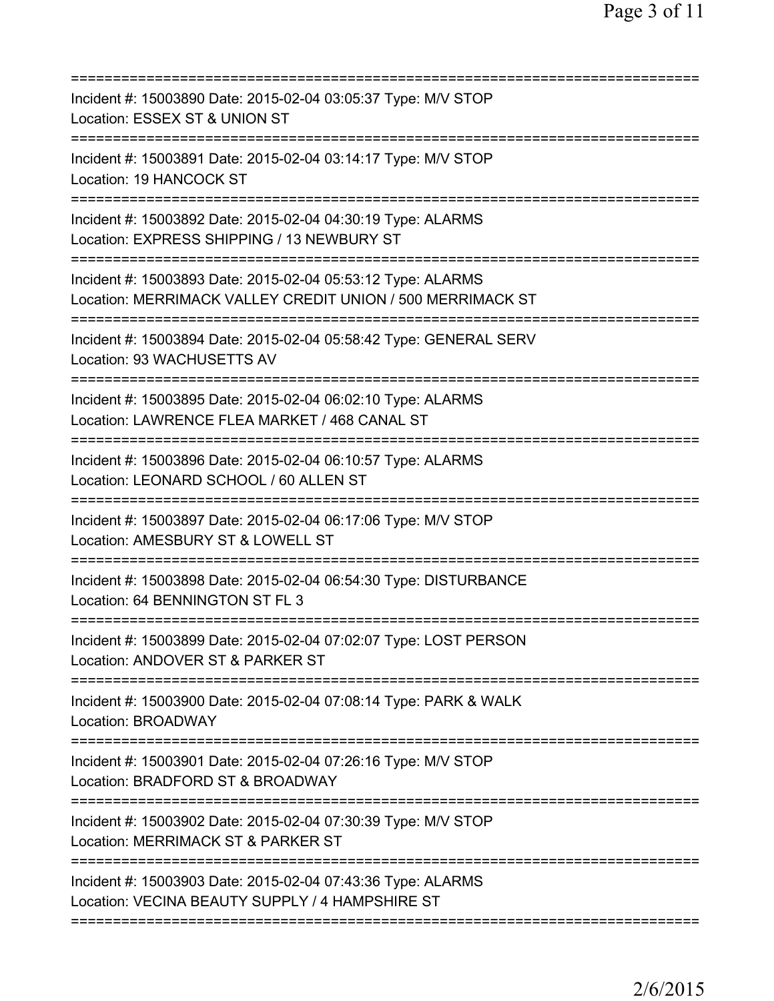| Incident #: 15003890 Date: 2015-02-04 03:05:37 Type: M/V STOP<br>Location: ESSEX ST & UNION ST                                                         |
|--------------------------------------------------------------------------------------------------------------------------------------------------------|
| Incident #: 15003891 Date: 2015-02-04 03:14:17 Type: M/V STOP<br>Location: 19 HANCOCK ST                                                               |
| Incident #: 15003892 Date: 2015-02-04 04:30:19 Type: ALARMS<br>Location: EXPRESS SHIPPING / 13 NEWBURY ST                                              |
| Incident #: 15003893 Date: 2015-02-04 05:53:12 Type: ALARMS<br>Location: MERRIMACK VALLEY CREDIT UNION / 500 MERRIMACK ST<br>========================= |
| Incident #: 15003894 Date: 2015-02-04 05:58:42 Type: GENERAL SERV<br>Location: 93 WACHUSETTS AV                                                        |
| Incident #: 15003895 Date: 2015-02-04 06:02:10 Type: ALARMS<br>Location: LAWRENCE FLEA MARKET / 468 CANAL ST<br>:====================                  |
| Incident #: 15003896 Date: 2015-02-04 06:10:57 Type: ALARMS<br>Location: LEONARD SCHOOL / 60 ALLEN ST                                                  |
| Incident #: 15003897 Date: 2015-02-04 06:17:06 Type: M/V STOP<br>Location: AMESBURY ST & LOWELL ST                                                     |
| Incident #: 15003898 Date: 2015-02-04 06:54:30 Type: DISTURBANCE<br>Location: 64 BENNINGTON ST FL 3                                                    |
| Incident #: 15003899 Date: 2015-02-04 07:02:07 Type: LOST PERSON<br>Location: ANDOVER ST & PARKER ST                                                   |
| =============================<br>Incident #: 15003900 Date: 2015-02-04 07:08:14 Type: PARK & WALK<br>Location: BROADWAY                                |
| Incident #: 15003901 Date: 2015-02-04 07:26:16 Type: M/V STOP<br>Location: BRADFORD ST & BROADWAY                                                      |
| Incident #: 15003902 Date: 2015-02-04 07:30:39 Type: M/V STOP<br>Location: MERRIMACK ST & PARKER ST                                                    |
| ==============================<br>Incident #: 15003903 Date: 2015-02-04 07:43:36 Type: ALARMS<br>Location: VECINA BEAUTY SUPPLY / 4 HAMPSHIRE ST       |
|                                                                                                                                                        |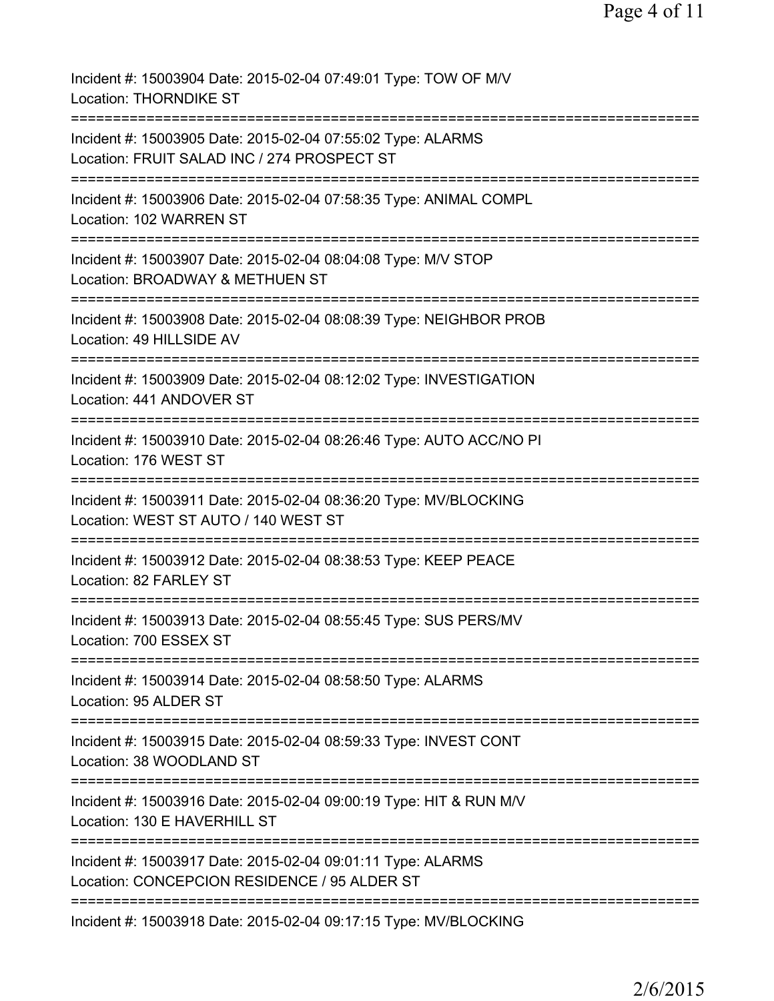| Incident #: 15003904 Date: 2015-02-04 07:49:01 Type: TOW OF M/V<br><b>Location: THORNDIKE ST</b>                                      |
|---------------------------------------------------------------------------------------------------------------------------------------|
| Incident #: 15003905 Date: 2015-02-04 07:55:02 Type: ALARMS<br>Location: FRUIT SALAD INC / 274 PROSPECT ST                            |
| Incident #: 15003906 Date: 2015-02-04 07:58:35 Type: ANIMAL COMPL<br>Location: 102 WARREN ST                                          |
| Incident #: 15003907 Date: 2015-02-04 08:04:08 Type: M/V STOP<br>Location: BROADWAY & METHUEN ST                                      |
| ==========================<br>Incident #: 15003908 Date: 2015-02-04 08:08:39 Type: NEIGHBOR PROB<br>Location: 49 HILLSIDE AV          |
| Incident #: 15003909 Date: 2015-02-04 08:12:02 Type: INVESTIGATION<br>Location: 441 ANDOVER ST                                        |
| =====================================<br>Incident #: 15003910 Date: 2015-02-04 08:26:46 Type: AUTO ACC/NO PI<br>Location: 176 WEST ST |
| ------------------<br>Incident #: 15003911 Date: 2015-02-04 08:36:20 Type: MV/BLOCKING<br>Location: WEST ST AUTO / 140 WEST ST        |
| Incident #: 15003912 Date: 2015-02-04 08:38:53 Type: KEEP PEACE<br>Location: 82 FARLEY ST                                             |
| Incident #: 15003913 Date: 2015-02-04 08:55:45 Type: SUS PERS/MV<br>Location: 700 ESSEX ST                                            |
| Incident #: 15003914 Date: 2015-02-04 08:58:50 Type: ALARMS<br>Location: 95 ALDER ST                                                  |
| Incident #: 15003915 Date: 2015-02-04 08:59:33 Type: INVEST CONT<br>Location: 38 WOODLAND ST                                          |
| Incident #: 15003916 Date: 2015-02-04 09:00:19 Type: HIT & RUN M/V<br>Location: 130 E HAVERHILL ST                                    |
| ======================<br>Incident #: 15003917 Date: 2015-02-04 09:01:11 Type: ALARMS<br>Location: CONCEPCION RESIDENCE / 95 ALDER ST |
| Incident #: 15003918 Date: 2015-02-04 09:17:15 Type: MV/BLOCKING                                                                      |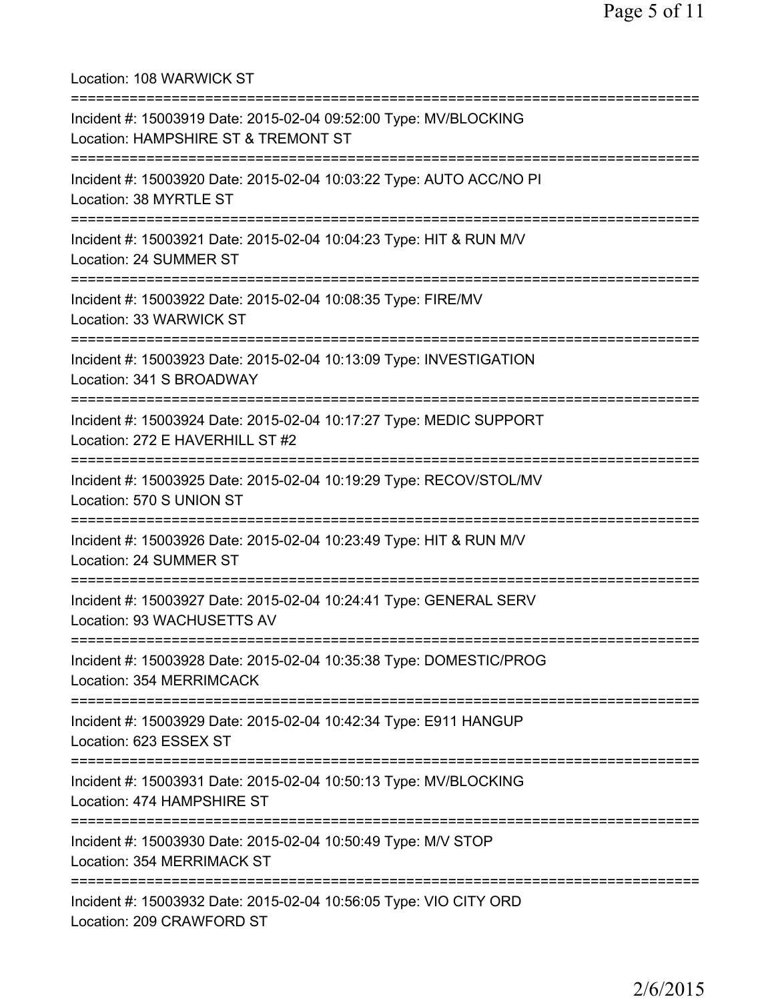Location: 108 WARWICK ST =========================================================================== Incident #: 15003919 Date: 2015-02-04 09:52:00 Type: MV/BLOCKING Location: HAMPSHIRE ST & TREMONT ST =========================================================================== Incident #: 15003920 Date: 2015-02-04 10:03:22 Type: AUTO ACC/NO PI Location: 38 MYRTLE ST =========================================================================== Incident #: 15003921 Date: 2015-02-04 10:04:23 Type: HIT & RUN M/V Location: 24 SUMMER ST =========================================================================== Incident #: 15003922 Date: 2015-02-04 10:08:35 Type: FIRE/MV Location: 33 WARWICK ST =========================================================================== Incident #: 15003923 Date: 2015-02-04 10:13:09 Type: INVESTIGATION Location: 341 S BROADWAY =========================================================================== Incident #: 15003924 Date: 2015-02-04 10:17:27 Type: MEDIC SUPPORT Location: 272 E HAVERHILL ST #2 =========================================================================== Incident #: 15003925 Date: 2015-02-04 10:19:29 Type: RECOV/STOL/MV Location: 570 S UNION ST =========================================================================== Incident #: 15003926 Date: 2015-02-04 10:23:49 Type: HIT & RUN M/V Location: 24 SUMMER ST =========================================================================== Incident #: 15003927 Date: 2015-02-04 10:24:41 Type: GENERAL SERV Location: 93 WACHUSETTS AV =========================================================================== Incident #: 15003928 Date: 2015-02-04 10:35:38 Type: DOMESTIC/PROG Location: 354 MERRIMCACK =========================================================================== Incident #: 15003929 Date: 2015-02-04 10:42:34 Type: E911 HANGUP Location: 623 ESSEX ST =========================================================================== Incident #: 15003931 Date: 2015-02-04 10:50:13 Type: MV/BLOCKING Location: 474 HAMPSHIRE ST =========================================================================== Incident #: 15003930 Date: 2015-02-04 10:50:49 Type: M/V STOP Location: 354 MERRIMACK ST =========================================================================== Incident #: 15003932 Date: 2015-02-04 10:56:05 Type: VIO CITY ORD Location: 209 CRAWFORD ST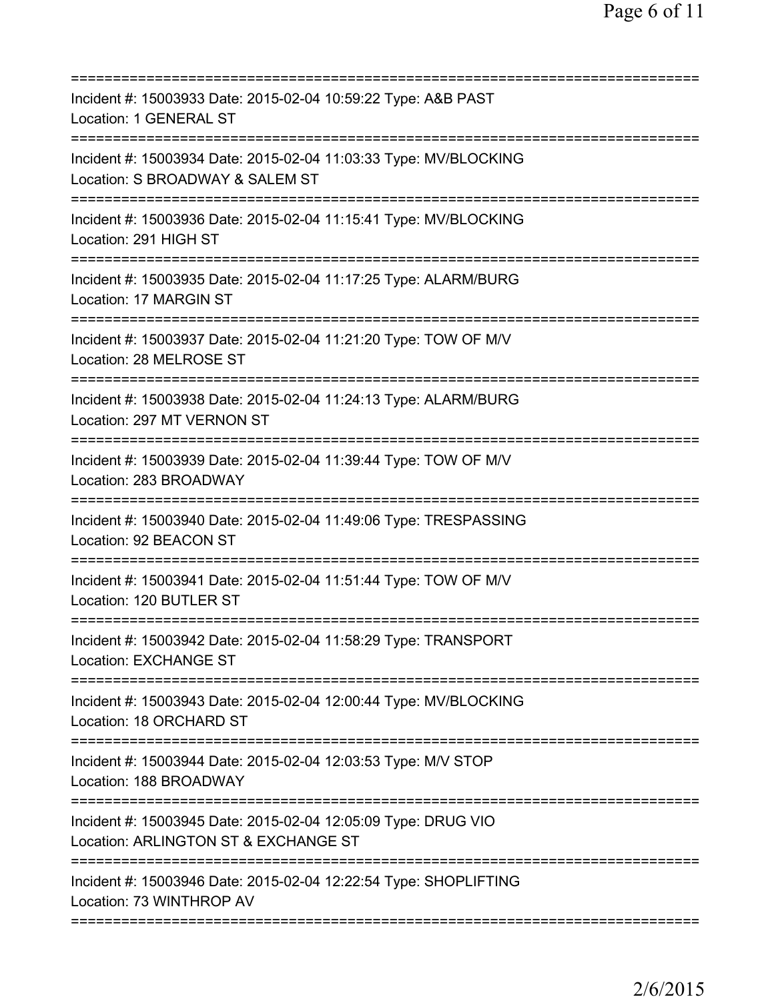| Incident #: 15003933 Date: 2015-02-04 10:59:22 Type: A&B PAST<br>Location: 1 GENERAL ST                                                |
|----------------------------------------------------------------------------------------------------------------------------------------|
| Incident #: 15003934 Date: 2015-02-04 11:03:33 Type: MV/BLOCKING<br>Location: S BROADWAY & SALEM ST                                    |
| Incident #: 15003936 Date: 2015-02-04 11:15:41 Type: MV/BLOCKING<br>Location: 291 HIGH ST                                              |
| Incident #: 15003935 Date: 2015-02-04 11:17:25 Type: ALARM/BURG<br>Location: 17 MARGIN ST                                              |
| Incident #: 15003937 Date: 2015-02-04 11:21:20 Type: TOW OF M/V<br>Location: 28 MELROSE ST                                             |
| =====================================<br>Incident #: 15003938 Date: 2015-02-04 11:24:13 Type: ALARM/BURG<br>Location: 297 MT VERNON ST |
| =====================================<br>Incident #: 15003939 Date: 2015-02-04 11:39:44 Type: TOW OF M/V<br>Location: 283 BROADWAY     |
| Incident #: 15003940 Date: 2015-02-04 11:49:06 Type: TRESPASSING<br>Location: 92 BEACON ST                                             |
| Incident #: 15003941 Date: 2015-02-04 11:51:44 Type: TOW OF M/V<br>Location: 120 BUTLER ST                                             |
| Incident #: 15003942 Date: 2015-02-04 11:58:29 Type: TRANSPORT<br><b>Location: EXCHANGE ST</b>                                         |
| Incident #: 15003943 Date: 2015-02-04 12:00:44 Type: MV/BLOCKING<br>Location: 18 ORCHARD ST                                            |
| Incident #: 15003944 Date: 2015-02-04 12:03:53 Type: M/V STOP<br>Location: 188 BROADWAY                                                |
| Incident #: 15003945 Date: 2015-02-04 12:05:09 Type: DRUG VIO<br>Location: ARLINGTON ST & EXCHANGE ST                                  |
| Incident #: 15003946 Date: 2015-02-04 12:22:54 Type: SHOPLIFTING<br>Location: 73 WINTHROP AV                                           |
|                                                                                                                                        |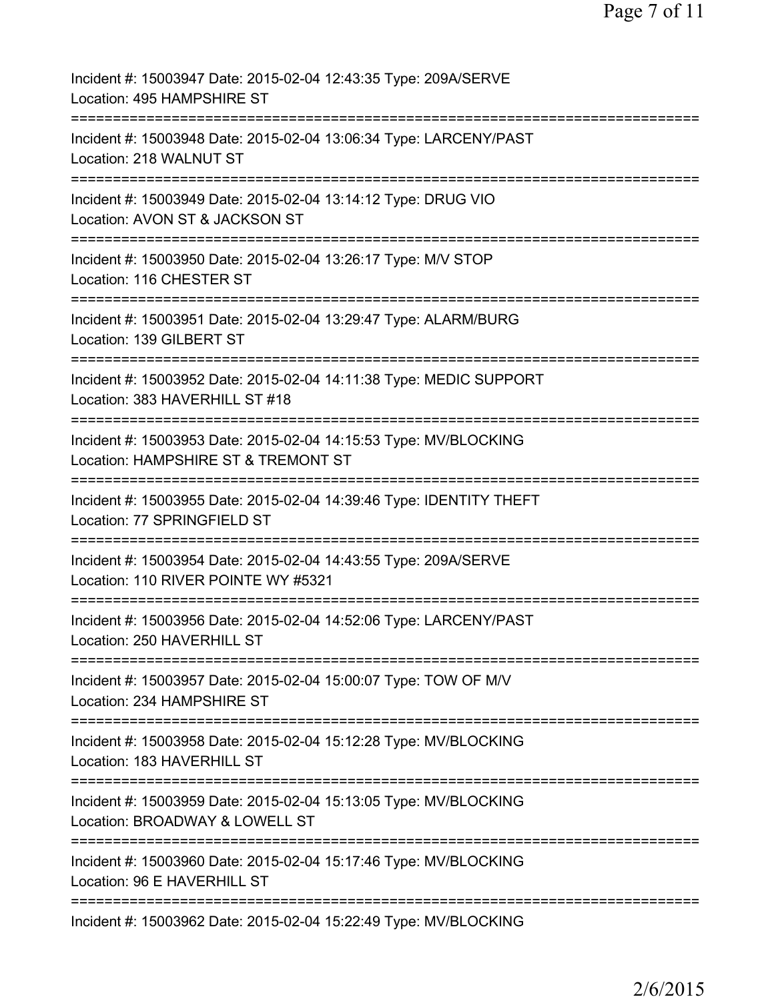| Incident #: 15003947 Date: 2015-02-04 12:43:35 Type: 209A/SERVE<br>Location: 495 HAMPSHIRE ST           |
|---------------------------------------------------------------------------------------------------------|
| Incident #: 15003948 Date: 2015-02-04 13:06:34 Type: LARCENY/PAST<br>Location: 218 WALNUT ST            |
| Incident #: 15003949 Date: 2015-02-04 13:14:12 Type: DRUG VIO<br>Location: AVON ST & JACKSON ST         |
| Incident #: 15003950 Date: 2015-02-04 13:26:17 Type: M/V STOP<br>Location: 116 CHESTER ST               |
| Incident #: 15003951 Date: 2015-02-04 13:29:47 Type: ALARM/BURG<br>Location: 139 GILBERT ST             |
| Incident #: 15003952 Date: 2015-02-04 14:11:38 Type: MEDIC SUPPORT<br>Location: 383 HAVERHILL ST #18    |
| Incident #: 15003953 Date: 2015-02-04 14:15:53 Type: MV/BLOCKING<br>Location: HAMPSHIRE ST & TREMONT ST |
| Incident #: 15003955 Date: 2015-02-04 14:39:46 Type: IDENTITY THEFT<br>Location: 77 SPRINGFIELD ST      |
| Incident #: 15003954 Date: 2015-02-04 14:43:55 Type: 209A/SERVE<br>Location: 110 RIVER POINTE WY #5321  |
| Incident #: 15003956 Date: 2015-02-04 14:52:06 Type: LARCENY/PAST<br>Location: 250 HAVERHILL ST         |
| Incident #: 15003957 Date: 2015-02-04 15:00:07 Type: TOW OF M/V<br>Location: 234 HAMPSHIRE ST           |
| Incident #: 15003958 Date: 2015-02-04 15:12:28 Type: MV/BLOCKING<br>Location: 183 HAVERHILL ST          |
| Incident #: 15003959 Date: 2015-02-04 15:13:05 Type: MV/BLOCKING<br>Location: BROADWAY & LOWELL ST      |
| Incident #: 15003960 Date: 2015-02-04 15:17:46 Type: MV/BLOCKING<br>Location: 96 E HAVERHILL ST         |
| Incident #: 15003962 Date: 2015-02-04 15:22:49 Type: MV/BLOCKING                                        |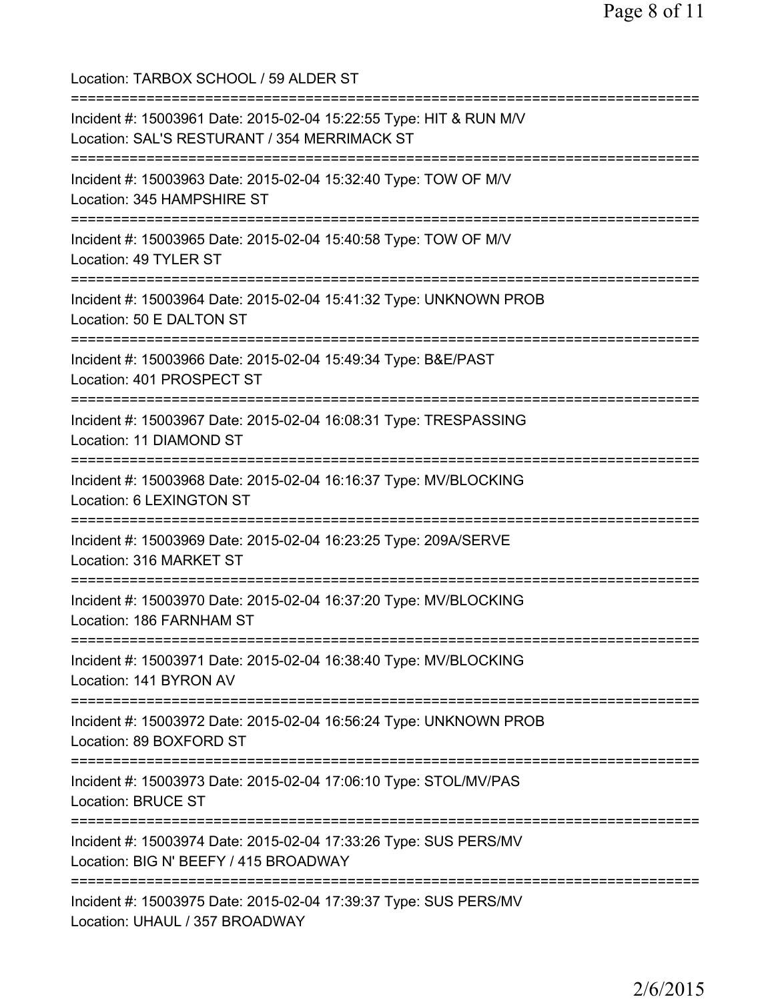Location: TARBOX SCHOOL / 59 ALDER ST =========================================================================== Incident #: 15003961 Date: 2015-02-04 15:22:55 Type: HIT & RUN M/V Location: SAL'S RESTURANT / 354 MERRIMACK ST =========================================================================== Incident #: 15003963 Date: 2015-02-04 15:32:40 Type: TOW OF M/V Location: 345 HAMPSHIRE ST =========================================================================== Incident #: 15003965 Date: 2015-02-04 15:40:58 Type: TOW OF M/V Location: 49 TYLER ST =========================================================================== Incident #: 15003964 Date: 2015-02-04 15:41:32 Type: UNKNOWN PROB Location: 50 E DALTON ST =========================================================================== Incident #: 15003966 Date: 2015-02-04 15:49:34 Type: B&E/PAST Location: 401 PROSPECT ST =========================================================================== Incident #: 15003967 Date: 2015-02-04 16:08:31 Type: TRESPASSING Location: 11 DIAMOND ST =========================================================================== Incident #: 15003968 Date: 2015-02-04 16:16:37 Type: MV/BLOCKING Location: 6 LEXINGTON ST =========================================================================== Incident #: 15003969 Date: 2015-02-04 16:23:25 Type: 209A/SERVE Location: 316 MARKET ST =========================================================================== Incident #: 15003970 Date: 2015-02-04 16:37:20 Type: MV/BLOCKING Location: 186 FARNHAM ST =========================================================================== Incident #: 15003971 Date: 2015-02-04 16:38:40 Type: MV/BLOCKING Location: 141 BYRON AV =========================================================================== Incident #: 15003972 Date: 2015-02-04 16:56:24 Type: UNKNOWN PROB Location: 89 BOXFORD ST =========================================================================== Incident #: 15003973 Date: 2015-02-04 17:06:10 Type: STOL/MV/PAS Location: BRUCE ST =========================================================================== Incident #: 15003974 Date: 2015-02-04 17:33:26 Type: SUS PERS/MV Location: BIG N' BEEFY / 415 BROADWAY =========================================================================== Incident #: 15003975 Date: 2015-02-04 17:39:37 Type: SUS PERS/MV Location: UHAUL / 357 BROADWAY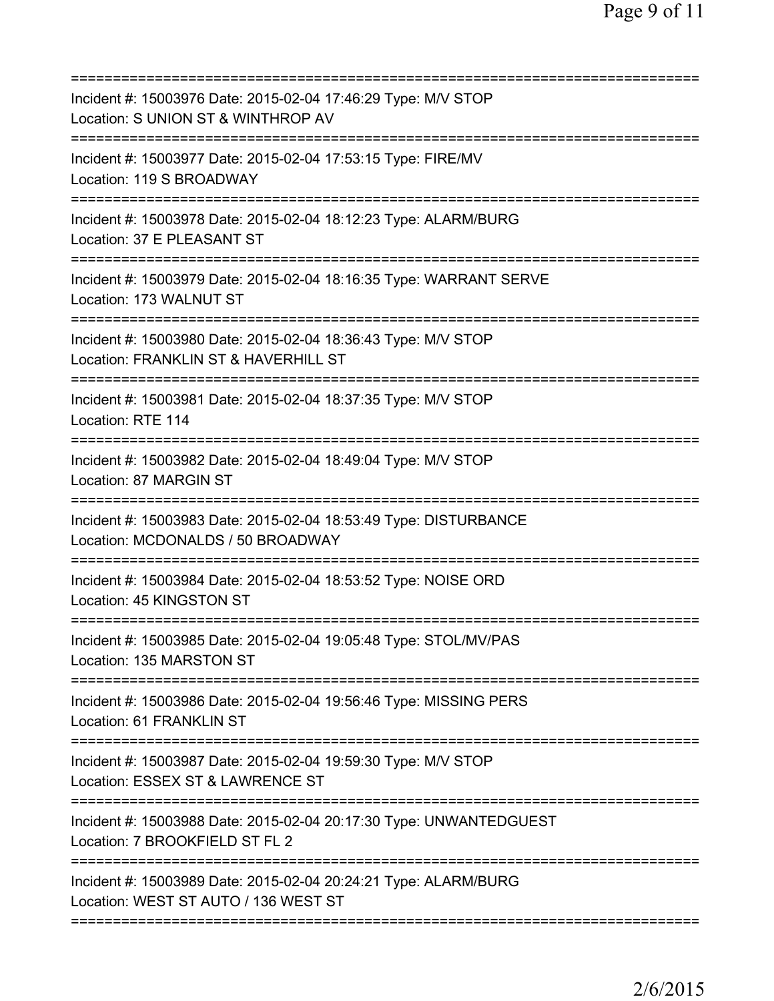| Incident #: 15003976 Date: 2015-02-04 17:46:29 Type: M/V STOP<br>Location: S UNION ST & WINTHROP AV                          |
|------------------------------------------------------------------------------------------------------------------------------|
| Incident #: 15003977 Date: 2015-02-04 17:53:15 Type: FIRE/MV<br>Location: 119 S BROADWAY                                     |
| Incident #: 15003978 Date: 2015-02-04 18:12:23 Type: ALARM/BURG<br>Location: 37 E PLEASANT ST                                |
| Incident #: 15003979 Date: 2015-02-04 18:16:35 Type: WARRANT SERVE<br>Location: 173 WALNUT ST                                |
| Incident #: 15003980 Date: 2015-02-04 18:36:43 Type: M/V STOP<br>Location: FRANKLIN ST & HAVERHILL ST                        |
| Incident #: 15003981 Date: 2015-02-04 18:37:35 Type: M/V STOP<br>Location: RTE 114<br>====================================== |
| Incident #: 15003982 Date: 2015-02-04 18:49:04 Type: M/V STOP<br>Location: 87 MARGIN ST                                      |
| Incident #: 15003983 Date: 2015-02-04 18:53:49 Type: DISTURBANCE<br>Location: MCDONALDS / 50 BROADWAY                        |
| Incident #: 15003984 Date: 2015-02-04 18:53:52 Type: NOISE ORD<br>Location: 45 KINGSTON ST                                   |
| Incident #: 15003985 Date: 2015-02-04 19:05:48 Type: STOL/MV/PAS<br>Location: 135 MARSTON ST                                 |
| Incident #: 15003986 Date: 2015-02-04 19:56:46 Type: MISSING PERS<br>Location: 61 FRANKLIN ST                                |
| Incident #: 15003987 Date: 2015-02-04 19:59:30 Type: M/V STOP<br>Location: ESSEX ST & LAWRENCE ST                            |
| Incident #: 15003988 Date: 2015-02-04 20:17:30 Type: UNWANTEDGUEST<br>Location: 7 BROOKFIELD ST FL 2                         |
| Incident #: 15003989 Date: 2015-02-04 20:24:21 Type: ALARM/BURG<br>Location: WEST ST AUTO / 136 WEST ST                      |
|                                                                                                                              |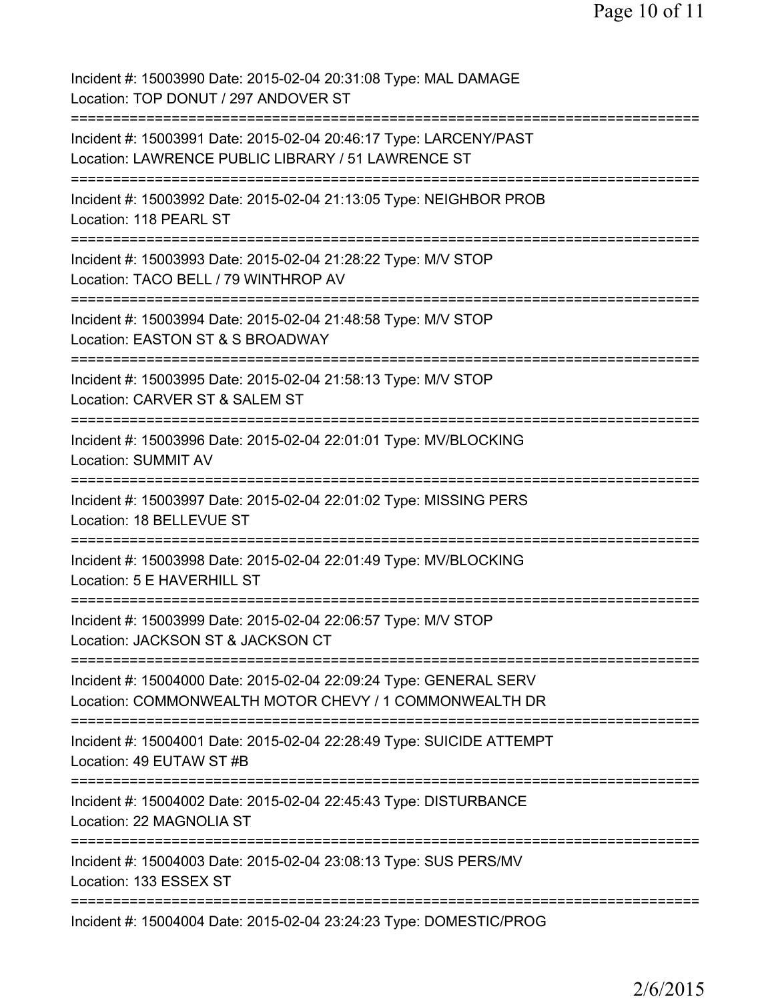Incident #: 15003990 Date: 2015-02-04 20:31:08 Type: MAL DAMAGE Location: TOP DONUT / 297 ANDOVER ST =========================================================================== Incident #: 15003991 Date: 2015-02-04 20:46:17 Type: LARCENY/PAST Location: LAWRENCE PUBLIC LIBRARY / 51 LAWRENCE ST =========================================================================== Incident #: 15003992 Date: 2015-02-04 21:13:05 Type: NEIGHBOR PROB Location: 118 PEARL ST =========================================================================== Incident #: 15003993 Date: 2015-02-04 21:28:22 Type: M/V STOP Location: TACO BELL / 79 WINTHROP AV =========================================================================== Incident #: 15003994 Date: 2015-02-04 21:48:58 Type: M/V STOP Location: EASTON ST & S BROADWAY =========================================================================== Incident #: 15003995 Date: 2015-02-04 21:58:13 Type: M/V STOP Location: CARVER ST & SALEM ST =========================================================================== Incident #: 15003996 Date: 2015-02-04 22:01:01 Type: MV/BLOCKING Location: SUMMIT AV =========================================================================== Incident #: 15003997 Date: 2015-02-04 22:01:02 Type: MISSING PERS Location: 18 BELLEVUE ST =========================================================================== Incident #: 15003998 Date: 2015-02-04 22:01:49 Type: MV/BLOCKING Location: 5 E HAVERHILL ST =========================================================================== Incident #: 15003999 Date: 2015-02-04 22:06:57 Type: M/V STOP Location: JACKSON ST & JACKSON CT =========================================================================== Incident #: 15004000 Date: 2015-02-04 22:09:24 Type: GENERAL SERV Location: COMMONWEALTH MOTOR CHEVY / 1 COMMONWEALTH DR =========================================================================== Incident #: 15004001 Date: 2015-02-04 22:28:49 Type: SUICIDE ATTEMPT Location: 49 EUTAW ST #B =========================================================================== Incident #: 15004002 Date: 2015-02-04 22:45:43 Type: DISTURBANCE Location: 22 MAGNOLIA ST =========================================================================== Incident #: 15004003 Date: 2015-02-04 23:08:13 Type: SUS PERS/MV Location: 133 ESSEX ST =========================================================================== Incident #: 15004004 Date: 2015-02-04 23:24:23 Type: DOMESTIC/PROG